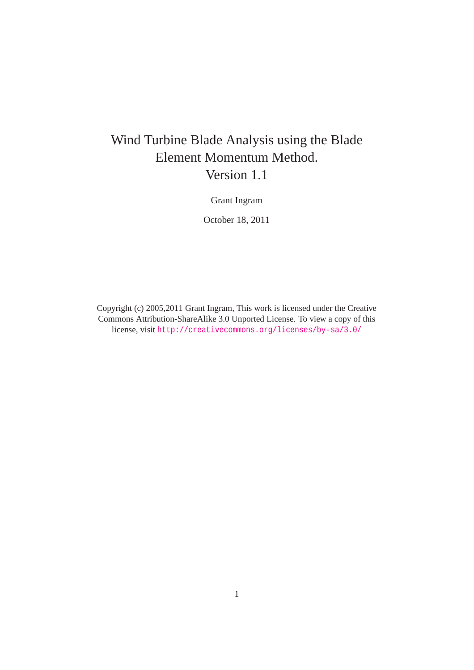# Wind Turbine Blade Analysis using the Blade Element Momentum Method. Version 1.1

Grant Ingram

October 18, 2011

Copyright (c) 2005,2011 Grant Ingram, This work is licensed under the Creative Commons Attribution-ShareAlike 3.0 Unported License. To view a copy of this license, visit <http://creativecommons.org/licenses/by-sa/3.0/>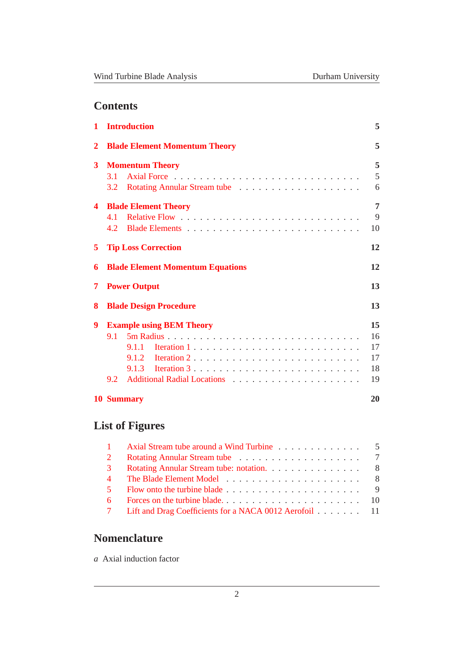# **Contents**

| 1            | <b>Introduction</b>                     | 5  |  |  |  |  |  |  |
|--------------|-----------------------------------------|----|--|--|--|--|--|--|
| $\mathbf{2}$ | <b>Blade Element Momentum Theory</b>    | 5  |  |  |  |  |  |  |
| 3            | <b>Momentum Theory</b>                  |    |  |  |  |  |  |  |
|              | 3.1                                     | 5  |  |  |  |  |  |  |
|              | $3.2^{\circ}$                           | 6  |  |  |  |  |  |  |
| 4            | <b>Blade Element Theory</b>             | 7  |  |  |  |  |  |  |
|              | 41                                      | 9  |  |  |  |  |  |  |
|              |                                         | 10 |  |  |  |  |  |  |
| 5            | 12<br><b>Tip Loss Correction</b>        |    |  |  |  |  |  |  |
| 6            | <b>Blade Element Momentum Equations</b> | 12 |  |  |  |  |  |  |
| 7            | <b>Power Output</b>                     | 13 |  |  |  |  |  |  |
| 8            | 13<br><b>Blade Design Procedure</b>     |    |  |  |  |  |  |  |
| 9            | <b>Example using BEM Theory</b>         | 15 |  |  |  |  |  |  |
|              | 9.1                                     | 16 |  |  |  |  |  |  |
|              |                                         | 17 |  |  |  |  |  |  |
|              |                                         | 17 |  |  |  |  |  |  |
|              |                                         | 18 |  |  |  |  |  |  |
|              | $9.2^{\circ}$                           | 19 |  |  |  |  |  |  |
|              | <b>10 Summary</b>                       | 20 |  |  |  |  |  |  |

# **List of Figures**

|                | 1 Axial Stream tube around a Wind Turbine 5                                                     |  |
|----------------|-------------------------------------------------------------------------------------------------|--|
| $\overline{2}$ |                                                                                                 |  |
| $\mathcal{E}$  | Rotating Annular Stream tube: notation. 8                                                       |  |
| 4              |                                                                                                 |  |
| $\sim$ 5       | Flow onto the turbine blade $\ldots$ , $\ldots$ , $\ldots$ , $\ldots$ , $\ldots$ , $\ldots$ , 9 |  |
| 6 —            |                                                                                                 |  |
|                | 7 Lift and Drag Coefficients for a NACA 0012 Aerofoil 11                                        |  |

# **Nomenclature**

*a* Axial induction factor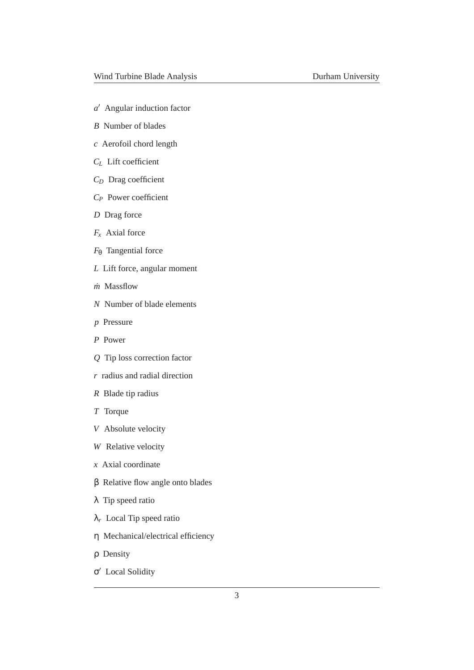- *a* ′ Angular induction factor
- *B* Number of blades
- *c* Aerofoil chord length
- *C<sup>L</sup>* Lift coefficient
- *C<sup>D</sup>* Drag coefficient
- *C<sup>P</sup>* Power coefficient
- *D* Drag force
- *F<sup>x</sup>* Axial force
- *F*<sup>θ</sup> Tangential force
- *L* Lift force, angular moment
- *m*˙ Massflow
- *N* Number of blade elements
- *p* Pressure
- *P* Power
- *Q* Tip loss correction factor
- *r* radius and radial direction
- *R* Blade tip radius
- *T* Torque
- *V* Absolute velocity
- *W* Relative velocity
- *x* Axial coordinate
- β Relative flow angle onto blades
- λ Tip speed ratio
- λ*<sup>r</sup>* Local Tip speed ratio
- η Mechanical/electrical efficiency
- ρ Density
- σ ′ Local Solidity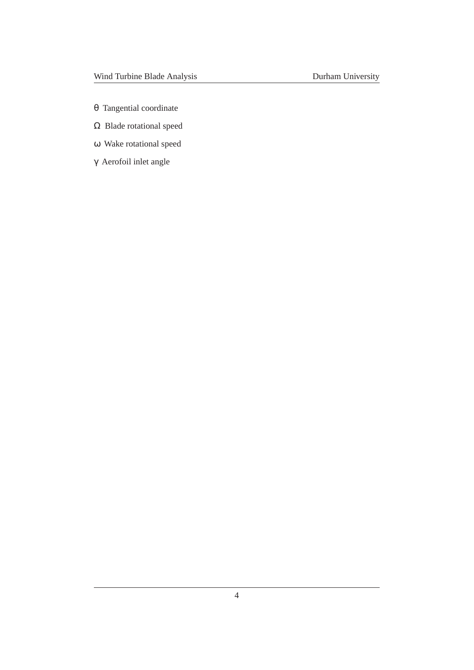- θ Tangential coordinate
- Ω Blade rotational speed
- ω Wake rotational speed
- γ Aerofoil inlet angle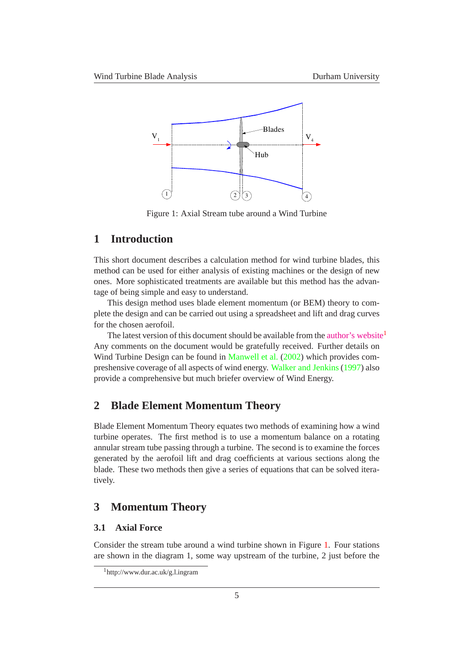

<span id="page-4-4"></span>Figure 1: Axial Stream tube around a Wind Turbine

## <span id="page-4-0"></span>**1 Introduction**

This short document describes a calculation method for wind turbine blades, this method can be used for either analysis of existing machines or the design of new ones. More sophisticated treatments are available but this method has the advantage of being simple and easy to understand.

This design method uses blade element momentum (or BEM) theory to complete the design and can be carried out using a spreadsheet and lift and drag curves for the chosen aerofoil.

The latest version of this document should be available from the [author's website](http://www.dur.ac.uk/g.l.ingram)<sup>[1](#page-4-5)</sup> Any comments on the document would be gratefully received. Further details on Wind Turbine Design can be found in [Manwell et al.](#page-20-0) [\(2002\)](#page-20-0) which provides compreshensive coverage of all aspects of wind energy. [Walker and Jenkins](#page-20-1) [\(1997](#page-20-1)) also provide a comprehensive but much briefer overview of Wind Energy.

## <span id="page-4-1"></span>**2 Blade Element Momentum Theory**

Blade Element Momentum Theory equates two methods of examining how a wind turbine operates. The first method is to use a momentum balance on a rotating annular stream tube passing through a turbine. The second is to examine the forces generated by the aerofoil lift and drag coefficients at various sections along the blade. These two methods then give a series of equations that can be solved iteratively.

## <span id="page-4-2"></span>**3 Momentum Theory**

## <span id="page-4-3"></span>**3.1 Axial Force**

Consider the stream tube around a wind turbine shown in Figure [1.](#page-4-4) Four stations are shown in the diagram 1, some way upstream of the turbine, 2 just before the

<span id="page-4-5"></span><sup>1</sup>http://www.dur.ac.uk/g.l.ingram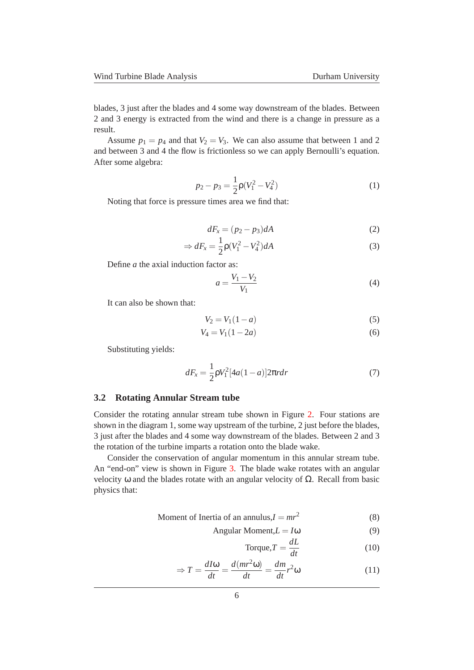blades, 3 just after the blades and 4 some way downstream of the blades. Between 2 and 3 energy is extracted from the wind and there is a change in pressure as a result.

Assume  $p_1 = p_4$  and that  $V_2 = V_3$ . We can also assume that between 1 and 2 and between 3 and 4 the flow is frictionless so we can apply Bernoulli's equation. After some algebra:

$$
p_2 - p_3 = \frac{1}{2}\rho(V_1^2 - V_4^2)
$$
 (1)

Noting that force is pressure times area we find that:

$$
dF_x = (p_2 - p_3)dA \tag{2}
$$

$$
\Rightarrow dF_x = \frac{1}{2}\rho(V_1^2 - V_4^2)dA\tag{3}
$$

Define *a* the axial induction factor as:

$$
a = \frac{V_1 - V_2}{V_1} \tag{4}
$$

It can also be shown that:

<span id="page-5-2"></span>
$$
V_2 = V_1(1 - a)
$$
 (5)

$$
V_4 = V_1(1 - 2a)
$$
 (6)

Substituting yields:

<span id="page-5-1"></span>
$$
dF_x = \frac{1}{2}\rho V_1^2 [4a(1-a)]2\pi r dr \tag{7}
$$

#### <span id="page-5-0"></span>**3.2 Rotating Annular Stream tube**

Consider the rotating annular stream tube shown in Figure [2.](#page-6-1) Four stations are shown in the diagram 1, some way upstream of the turbine, 2 just before the blades, 3 just after the blades and 4 some way downstream of the blades. Between 2 and 3 the rotation of the turbine imparts a rotation onto the blade wake.

Consider the conservation of angular momentum in this annular stream tube. An "end-on" view is shown in Figure [3.](#page-7-0) The blade wake rotates with an angular velocity ω and the blades rotate with an angular velocity of  $Ω$ . Recall from basic physics that:

$$
Moment of Inertia of an annulus, I = mr2
$$
\n(8)

Angular Moment, $L = I\omega$  (9)

Torque, 
$$
T = \frac{dL}{dt}
$$
 (10)

$$
\Rightarrow T = \frac{dI\omega}{dt} = \frac{d(mr^2\omega)}{dt} = \frac{dm}{dt}r^2\omega
$$
 (11)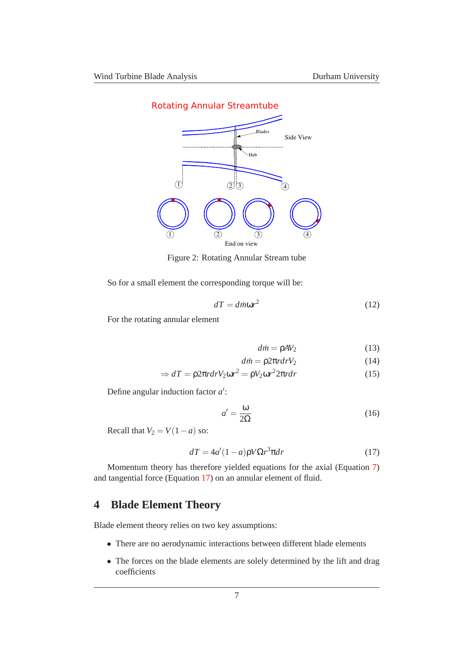

<span id="page-6-1"></span>Figure 2: Rotating Annular Stream tube

So for a small element the corresponding torque will be:

$$
dT = \text{dim}\omega r^2 \tag{12}
$$

For the rotating annular element

$$
d\dot{m} = \rho A V_2 \tag{13}
$$

$$
d\dot{m} = \rho 2\pi r dr V_2 \tag{14}
$$

$$
\Rightarrow dT = \rho 2\pi r dr V_2 \omega r^2 = \rho V_2 \omega r^2 2\pi r dr \tag{15}
$$

Define angular induction factor  $a'$ :

$$
a' = \frac{\omega}{2\Omega} \tag{16}
$$

Recall that  $V_2 = V(1 - a)$  so:

<span id="page-6-2"></span>
$$
dT = 4a'(1-a)pV\Omega r^3 \pi dr \qquad (17)
$$

Momentum theory has therefore yielded equations for the axial (Equation [7\)](#page-5-1) and tangential force (Equation [17\)](#page-6-2) on an annular element of fluid.

# <span id="page-6-0"></span>**4 Blade Element Theory**

Blade element theory relies on two key assumptions:

- There are no aerodynamic interactions between different blade elements
- The forces on the blade elements are solely determined by the lift and drag coefficients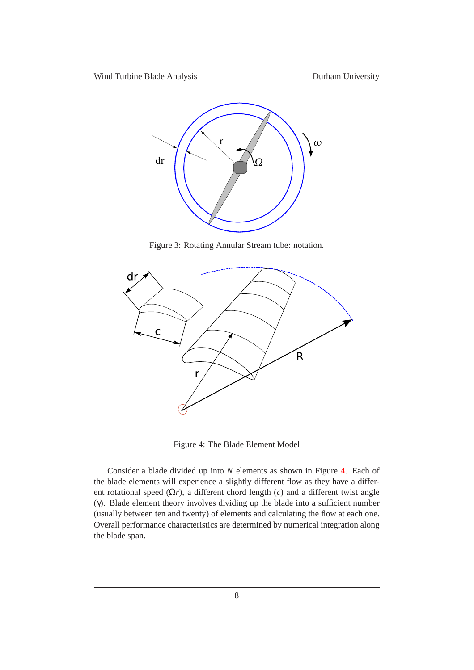

<span id="page-7-0"></span>Figure 3: Rotating Annular Stream tube: notation.



<span id="page-7-1"></span>Figure 4: The Blade Element Model

Consider a blade divided up into *N* elements as shown in Figure [4.](#page-7-1) Each of the blade elements will experience a slightly different flow as they have a different rotational speed  $(\Omega r)$ , a different chord length  $(c)$  and a different twist angle (γ). Blade element theory involves dividing up the blade into a sufficient number (usually between ten and twenty) of elements and calculating the flow at each one. Overall performance characteristics are determined by numerical integration along the blade span.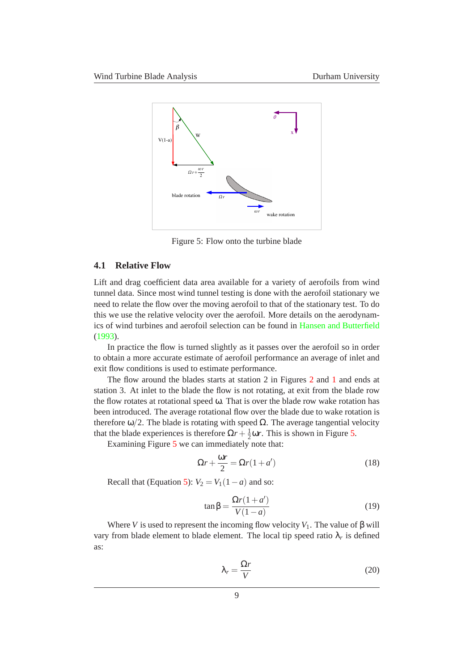

<span id="page-8-1"></span>Figure 5: Flow onto the turbine blade

#### <span id="page-8-0"></span>**4.1 Relative Flow**

Lift and drag coefficient data area available for a variety of aerofoils from wind tunnel data. Since most wind tunnel testing is done with the aerofoil stationary we need to relate the flow over the moving aerofoil to that of the stationary test. To do this we use the relative velocity over the aerofoil. More details on the aerodynamics of wind turbines and aerofoil selection can be found in [Hansen and Butterfield](#page-20-2) [\(1993](#page-20-2)).

In practice the flow is turned slightly as it passes over the aerofoil so in order to obtain a more accurate estimate of aerofoil performance an average of inlet and exit flow conditions is used to estimate performance.

The flow around the blades starts at station 2 in Figures [2](#page-6-1) and [1](#page-4-4) and ends at station 3. At inlet to the blade the flow is not rotating, at exit from the blade row the flow rotates at rotational speed ω. That is over the blade row wake rotation has been introduced. The average rotational flow over the blade due to wake rotation is therefore  $\omega/2$ . The blade is rotating with speed  $\Omega$ . The average tangential velocity that the blade experiences is therefore  $\Omega r + \frac{1}{2}$  $\frac{1}{2}$  or. This is shown in Figure [5.](#page-8-1)

Examining Figure [5](#page-8-1) we can immediately note that:

$$
\Omega r + \frac{\omega r}{2} = \Omega r (1 + a')
$$
\n(18)

Recall that (Equation [5\)](#page-5-2):  $V_2 = V_1(1-a)$  and so:

$$
\tan\beta = \frac{\Omega r(1+a')}{V(1-a)}\tag{19}
$$

Where *V* is used to represent the incoming flow velocity  $V_1$ . The value of  $\beta$  will vary from blade element to blade element. The local tip speed ratio  $\lambda_r$  is defined as:

$$
\lambda_r = \frac{\Omega r}{V} \tag{20}
$$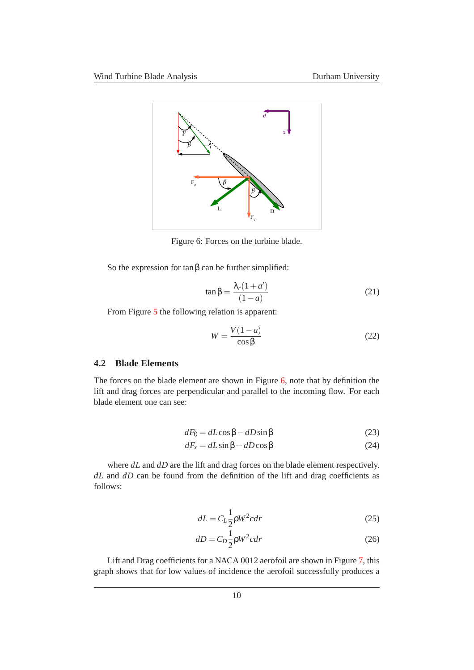

Figure 6: Forces on the turbine blade.

So the expression for  $\tan \beta$  can be further simplified:

<span id="page-9-4"></span><span id="page-9-1"></span>
$$
\tan\beta = \frac{\lambda_r(1+a')}{(1-a)}\tag{21}
$$

From Figure [5](#page-8-1) the following relation is apparent:

<span id="page-9-5"></span>
$$
W = \frac{V(1-a)}{\cos \beta} \tag{22}
$$

### <span id="page-9-0"></span>**4.2 Blade Elements**

The forces on the blade element are shown in Figure [6,](#page-9-1) note that by definition the lift and drag forces are perpendicular and parallel to the incoming flow. For each blade element one can see:

<span id="page-9-2"></span>
$$
dF_{\theta} = dL \cos \beta - dD \sin \beta \tag{23}
$$

$$
dF_x = dL\sin\beta + dD\cos\beta\tag{24}
$$

where *dL* and *dD* are the lift and drag forces on the blade element respectively. *dL* and *dD* can be found from the definition of the lift and drag coefficients as follows:

<span id="page-9-3"></span>
$$
dL = C_L \frac{1}{2} \rho W^2 c dr \tag{25}
$$

$$
dD = C_D \frac{1}{2} \rho W^2 c dr \tag{26}
$$

Lift and Drag coefficients for a NACA 0012 aerofoil are shown in Figure [7,](#page-10-0) this graph shows that for low values of incidence the aerofoil successfully produces a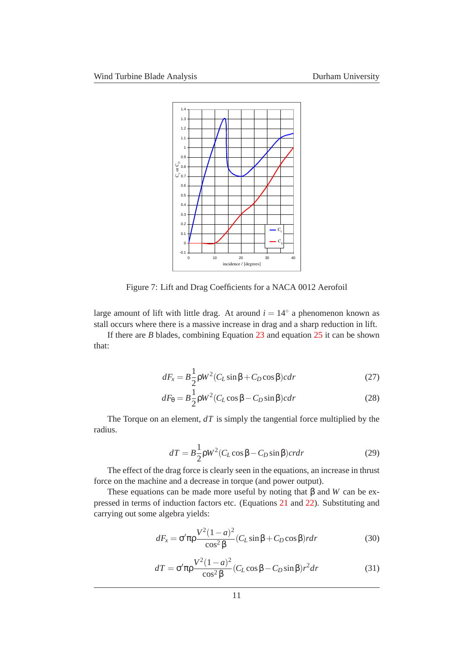

<span id="page-10-0"></span>Figure 7: Lift and Drag Coefficients for a NACA 0012 Aerofoil

large amount of lift with little drag. At around  $i = 14°$  a phenomenon known as stall occurs where there is a massive increase in drag and a sharp reduction in lift.

If there are *B* blades, combining Equation [23](#page-9-2) and equation [25](#page-9-3) it can be shown that:

$$
dF_x = B\frac{1}{2}\rho W^2 (C_L \sin\beta + C_D \cos\beta) c dr \qquad (27)
$$

$$
dF_{\theta} = B\frac{1}{2}\rho W^{2}(C_{L}\cos\beta - C_{D}\sin\beta)cdr
$$
\n(28)

The Torque on an element, *dT* is simply the tangential force multiplied by the radius.

$$
dT = B\frac{1}{2}\rho W^2 (C_L \cos\beta - C_D \sin\beta) cr dr
$$
 (29)

The effect of the drag force is clearly seen in the equations, an increase in thrust force on the machine and a decrease in torque (and power output).

These equations can be made more useful by noting that β and *W* can be expressed in terms of induction factors etc. (Equations [21](#page-9-4) and [22\)](#page-9-5). Substituting and carrying out some algebra yields:

<span id="page-10-1"></span>
$$
dF_x = \sigma' \pi \rho \frac{V^2 (1 - a)^2}{\cos^2 \beta} (C_L \sin \beta + C_D \cos \beta) r dr \tag{30}
$$

<span id="page-10-2"></span>
$$
dT = \sigma' \pi \rho \frac{V^2 (1 - a)^2}{\cos^2 \beta} (C_L \cos \beta - C_D \sin \beta) r^2 dr \tag{31}
$$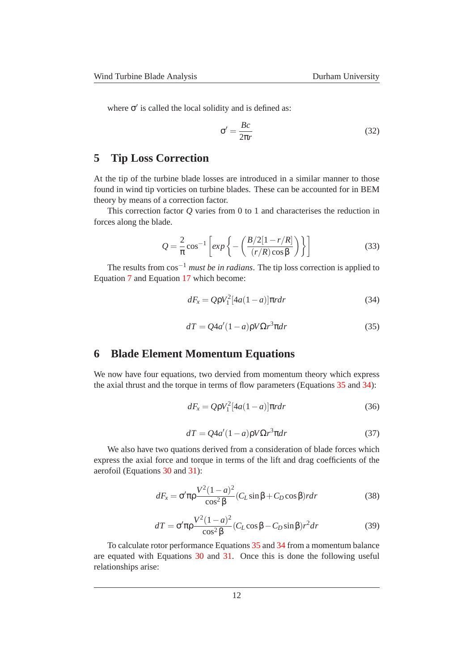where  $\sigma'$  is called the local solidity and is defined as:

$$
\sigma' = \frac{Bc}{2\pi r} \tag{32}
$$

# <span id="page-11-0"></span>**5 Tip Loss Correction**

At the tip of the turbine blade losses are introduced in a similar manner to those found in wind tip vorticies on turbine blades. These can be accounted for in BEM theory by means of a correction factor.

This correction factor *Q* varies from 0 to 1 and characterises the reduction in forces along the blade.

$$
Q = \frac{2}{\pi} \cos^{-1} \left[ exp \left\{ - \left( \frac{B/2[1 - r/R]}{(r/R)\cos\beta} \right) \right\} \right]
$$
(33)

The results from cos−<sup>1</sup> *must be in radians*. The tip loss correction is applied to Equation [7](#page-5-1) and Equation [17](#page-6-2) which become:

<span id="page-11-3"></span>
$$
dF_x = Q\rho V_1^2 [4a(1-a)]\pi r dr \qquad (34)
$$

<span id="page-11-2"></span>
$$
dT = Q4a'(1-a)pV\Omega r^3\pi dr\tag{35}
$$

## <span id="page-11-1"></span>**6 Blade Element Momentum Equations**

We now have four equations, two dervied from momentum theory which express the axial thrust and the torque in terms of flow parameters (Equations [35](#page-11-2) and [34\)](#page-11-3):

$$
dF_x = Q\rho V_1^2 [4a(1-a)]\pi r dr \qquad (36)
$$

$$
dT = Q4a'(1-a)\rho V\Omega r^3 \pi dr \tag{37}
$$

We also have two quations derived from a consideration of blade forces which express the axial force and torque in terms of the lift and drag coefficients of the aerofoil (Equations [30](#page-10-1) and [31\)](#page-10-2):

$$
dF_x = \sigma' \pi \rho \frac{V^2 (1 - a)^2}{\cos^2 \beta} (C_L \sin \beta + C_D \cos \beta) r dr \tag{38}
$$

$$
dT = \sigma' \pi \rho \frac{V^2 (1 - a)^2}{\cos^2 \beta} (C_L \cos \beta - C_D \sin \beta) r^2 dr \tag{39}
$$

To calculate rotor performance Equations [35](#page-11-2) and [34](#page-11-3) from a momentum balance are equated with Equations [30](#page-10-1) and [31.](#page-10-2) Once this is done the following useful relationships arise: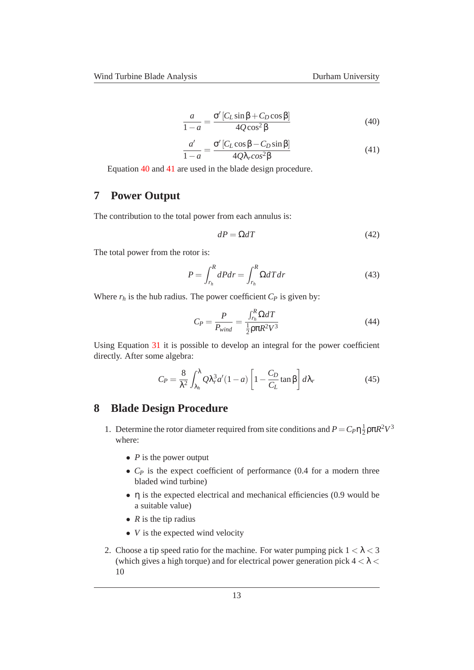<span id="page-12-2"></span>
$$
\frac{a}{1-a} = \frac{\sigma' [C_L \sin \beta + C_D \cos \beta]}{4Q \cos^2 \beta}
$$
(40)

<span id="page-12-3"></span>
$$
\frac{a'}{1-a} = \frac{\sigma' \left[ C_L \cos \beta - C_D \sin \beta \right]}{4Q\lambda_r \cos^2 \beta} \tag{41}
$$

Equation [40](#page-12-2) and [41](#page-12-3) are used in the blade design procedure.

## <span id="page-12-0"></span>**7 Power Output**

The contribution to the total power from each annulus is:

$$
dP = \Omega dT \tag{42}
$$

The total power from the rotor is:

$$
P = \int_{r_h}^{R} dP dr = \int_{r_h}^{R} \Omega dT dr \qquad (43)
$$

Where  $r_h$  is the hub radius. The power coefficient  $C_P$  is given by:

$$
C_P = \frac{P}{P_{wind}} = \frac{\int_{r_h}^R \Omega dT}{\frac{1}{2} \rho \pi R^2 V^3}
$$
(44)

Using Equation [31](#page-10-2) it is possible to develop an integral for the power coefficient directly. After some algebra:

<span id="page-12-4"></span>
$$
C_P = \frac{8}{\lambda^2} \int_{\lambda_h}^{\lambda} Q \lambda_r^3 a'(1 - a) \left[ 1 - \frac{C_D}{C_L} \tan \beta \right] d\lambda_r \tag{45}
$$

## <span id="page-12-1"></span>**8 Blade Design Procedure**

- 1. Determine the rotor diameter required from site conditions and  $P = C_P \eta \frac{1}{2}$  $\frac{1}{2}$ ρπ $R^2V^3$ where:
	- *P* is the power output
	- *C<sub>P</sub>* is the expect coefficient of performance (0.4 for a modern three bladed wind turbine)
	- η is the expected electrical and mechanical efficiencies (0.9 would be a suitable value)
	- $R$  is the tip radius
	- *V* is the expected wind velocity
- 2. Choose a tip speed ratio for the machine. For water pumping pick  $1 < \lambda < 3$ (which gives a high torque) and for electrical power generation pick  $4 < \lambda <$ 10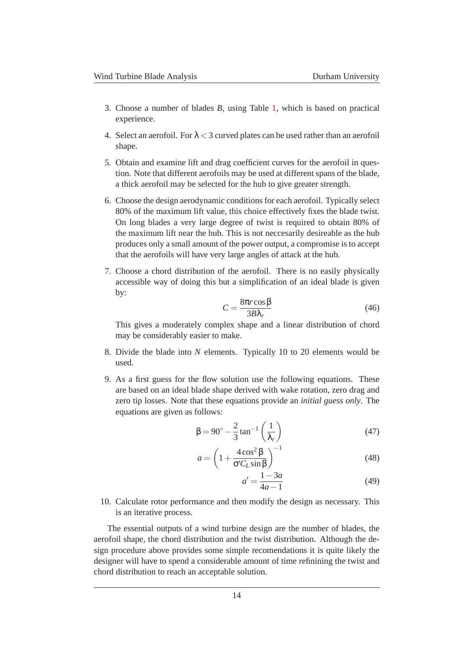- 3. Choose a number of blades *B*, using Table [1,](#page-14-1) which is based on practical experience.
- 4. Select an aerofoil. For  $\lambda < 3$  curved plates can be used rather than an aerofoil shape.
- 5. Obtain and examine lift and drag coefficient curves for the aerofoil in question. Note that different aerofoils may be used at different spans of the blade, a thick aerofoil may be selected for the hub to give greater strength.
- 6. Choose the design aerodynamic conditions for each aerofoil. Typically select 80% of the maximum lift value, this choice effectively fixes the blade twist. On long blades a very large degree of twist is required to obtain 80% of the maximum lift near the hub. This is not neccesarily desireable as the hub produces only a small amount of the power output, a compromise is to accept that the aerofoils will have very large angles of attack at the hub.
- 7. Choose a chord distribution of the aerofoil. There is no easily physically accessible way of doing this but a simplification of an ideal blade is given by:

$$
C = \frac{8\pi r \cos\beta}{3B\lambda_r} \tag{46}
$$

This gives a moderately complex shape and a linear distribution of chord may be considerably easier to make.

- 8. Divide the blade into *N* elements. Typically 10 to 20 elements would be used.
- 9. As a first guess for the flow solution use the following equations. These are based on an ideal blade shape derived with wake rotation, zero drag and zero tip losses. Note that these equations provide an *initial guess only*. The equations are given as follows:

<span id="page-13-0"></span>
$$
\beta = 90^\circ - \frac{2}{3} \tan^{-1} \left( \frac{1}{\lambda_r} \right) \tag{47}
$$

$$
a = \left(1 + \frac{4\cos^2\beta}{\sigma' C_L \sin\beta}\right)^{-1}
$$
 (48)

$$
a' = \frac{1 - 3a}{4a - 1}
$$
 (49)

10. Calculate rotor performance and then modify the design as necessary. This is an iterative process.

The essential outputs of a wind turbine design are the number of blades, the aerofoil shape, the chord distribution and the twist distribution. Although the design procedure above provides some simple recomendations it is quite likely the designer will have to spend a considerable amount of time refinining the twist and chord distribution to reach an acceptable solution.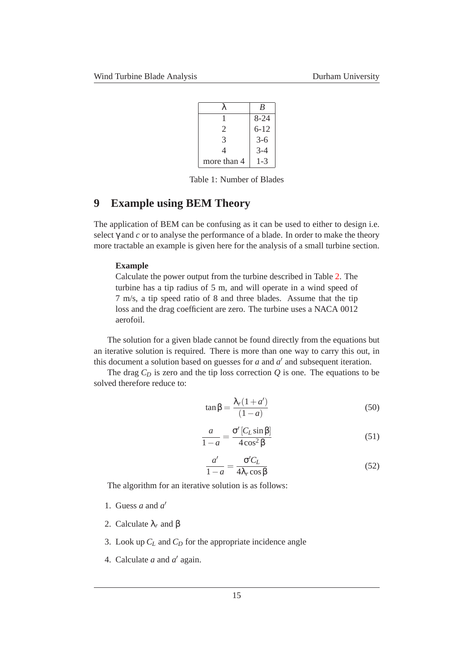|             | R        |
|-------------|----------|
|             | $8 - 24$ |
| 2           | $6 - 12$ |
| 3           | $3-6$    |
| 4           | $3-4$    |
| more than 4 | $1 - 3$  |

<span id="page-14-1"></span>Table 1: Number of Blades

## <span id="page-14-0"></span>**9 Example using BEM Theory**

The application of BEM can be confusing as it can be used to either to design i.e. select γ and *c* or to analyse the performance of a blade. In order to make the theory more tractable an example is given here for the analysis of a small turbine section.

#### **Example**

Calculate the power output from the turbine described in Table [2.](#page-15-1) The turbine has a tip radius of 5 m, and will operate in a wind speed of 7 m/s, a tip speed ratio of 8 and three blades. Assume that the tip loss and the drag coefficient are zero. The turbine uses a NACA 0012 aerofoil.

The solution for a given blade cannot be found directly from the equations but an iterative solution is required. There is more than one way to carry this out, in this document a solution based on guesses for  $a$  and  $a'$  and subsequent iteration.

The drag  $C_D$  is zero and the tip loss correction  $Q$  is one. The equations to be solved therefore reduce to:

$$
\tan\beta = \frac{\lambda_r(1+a')}{(1-a)}\tag{50}
$$

<span id="page-14-2"></span>
$$
\frac{a}{1-a} = \frac{\sigma'[C_L \sin \beta]}{4 \cos^2 \beta}
$$
 (51)

<span id="page-14-3"></span>
$$
\frac{a'}{1-a} = \frac{\sigma' C_L}{4\lambda_r \cos \beta}
$$
 (52)

The algorithm for an iterative solution is as follows:

- 1. Guess *a* and *a* ′
- 2. Calculate λ*<sup>r</sup>* and β
- 3. Look up *C<sup>L</sup>* and *C<sup>D</sup>* for the appropriate incidence angle
- 4. Calculate  $a$  and  $a'$  again.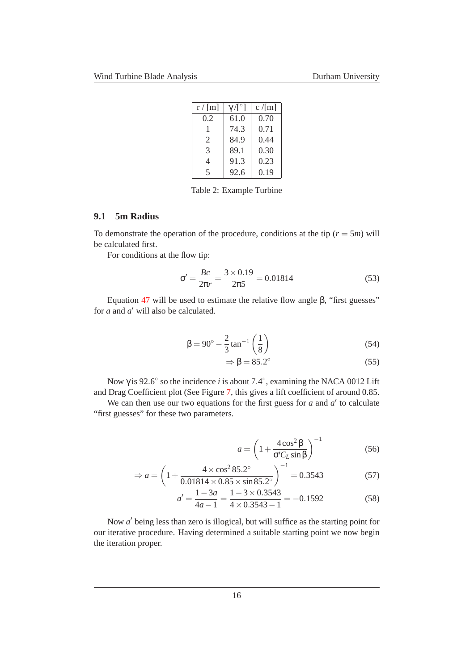| $r/$ [m]                 | $\gamma/ [^{\circ}]$ | $c/$ [m] |
|--------------------------|----------------------|----------|
| 0.2                      | 61.0                 | 0.70     |
| 1                        | 74.3                 | 0.71     |
| 2                        | 84.9                 | 0.44     |
| 3                        | 89.1                 | 0.30     |
| 4                        | 91.3                 | 0.23     |
| $\overline{\mathcal{L}}$ | 92.6                 | 0.19     |

<span id="page-15-1"></span>Table 2: Example Turbine

#### <span id="page-15-0"></span>**9.1 5m Radius**

To demonstrate the operation of the procedure, conditions at the tip  $(r = 5m)$  will be calculated first.

For conditions at the flow tip:

$$
\sigma' = \frac{Bc}{2\pi r} = \frac{3 \times 0.19}{2\pi 5} = 0.01814
$$
 (53)

Equation [47](#page-13-0) will be used to estimate the relative flow angle β, "first guesses" for *a* and *a* ′ will also be calculated.

$$
\beta = 90^{\circ} - \frac{2}{3} \tan^{-1} \left( \frac{1}{8} \right)
$$
 (54)

$$
\Rightarrow \beta = 85.2^{\circ} \tag{55}
$$

Now  $\gamma$  is 92.6° so the incidence *i* is about 7.4°, examining the NACA 0012 Lift

and Drag Coefficient plot (See Figure [7,](#page-10-0) this gives a lift coefficient of around 0.85. We can then use our two equations for the first guess for  $a$  and  $a'$  to calculate "first guesses" for these two parameters.

$$
a = \left(1 + \frac{4\cos^2\beta}{\sigma'C_L\sin\beta}\right)^{-1}
$$
 (56)

$$
\Rightarrow a = \left(1 + \frac{4 \times \cos^2 85.2^{\circ}}{0.01814 \times 0.85 \times \sin 85.2^{\circ}}\right)^{-1} = 0.3543\tag{57}
$$

$$
a' = \frac{1 - 3a}{4a - 1} = \frac{1 - 3 \times 0.3543}{4 \times 0.3543 - 1} = -0.1592
$$
 (58)

Now *a* ′ being less than zero is illogical, but will suffice as the starting point for our iterative procedure. Having determined a suitable starting point we now begin the iteration proper.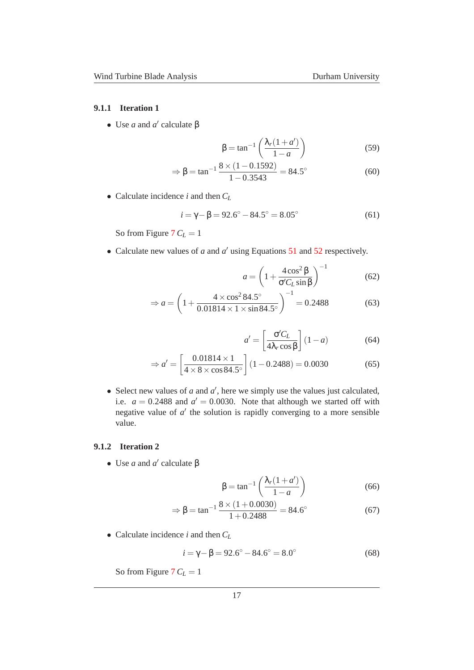#### <span id="page-16-0"></span>**9.1.1 Iteration 1**

• Use *a* and *a'* calculate β

$$
\beta = \tan^{-1}\left(\frac{\lambda_r(1+a')}{1-a}\right) \tag{59}
$$

$$
\Rightarrow \beta = \tan^{-1} \frac{8 \times (1 - 0.1592)}{1 - 0.3543} = 84.5^{\circ}
$$
 (60)

• Calculate incidence *i* and then *C<sup>L</sup>*

$$
i = \gamma - \beta = 92.6^{\circ} - 84.5^{\circ} = 8.05^{\circ}
$$
 (61)

So from Figure  $7 C_L = 1$  $7 C_L = 1$ 

• Calculate new values of *a* and *a'* using Equations [51](#page-14-2) and [52](#page-14-3) respectively.

$$
a = \left(1 + \frac{4\cos^2\beta}{\sigma'C_L\sin\beta}\right)^{-1}
$$
 (62)

$$
\Rightarrow a = \left(1 + \frac{4 \times \cos^2 84.5^{\circ}}{0.01814 \times 1 \times \sin 84.5^{\circ}}\right)^{-1} = 0.2488
$$
 (63)

$$
a' = \left[\frac{\sigma' C_L}{4\lambda_r \cos \beta}\right] (1 - a) \tag{64}
$$

$$
\Rightarrow a' = \left[\frac{0.01814 \times 1}{4 \times 8 \times \cos 84.5^{\circ}}\right] (1 - 0.2488) = 0.0030
$$
 (65)

• Select new values of  $a$  and  $a'$ , here we simply use the values just calculated, i.e.  $a = 0.2488$  and  $a' = 0.0030$ . Note that although we started off with negative value of  $a'$  the solution is rapidly converging to a more sensible value.

#### <span id="page-16-1"></span>**9.1.2 Iteration 2**

• Use *a* and *a'* calculate β

$$
\beta = \tan^{-1} \left( \frac{\lambda_r (1 + a')}{1 - a} \right) \tag{66}
$$

$$
\Rightarrow \beta = \tan^{-1} \frac{8 \times (1 + 0.0030)}{1 + 0.2488} = 84.6^{\circ}
$$
 (67)

• Calculate incidence *i* and then *C<sup>L</sup>*

$$
i = \gamma - \beta = 92.6^{\circ} - 84.6^{\circ} = 8.0^{\circ}
$$
 (68)

So from Figure  $7 C_L = 1$  $7 C_L = 1$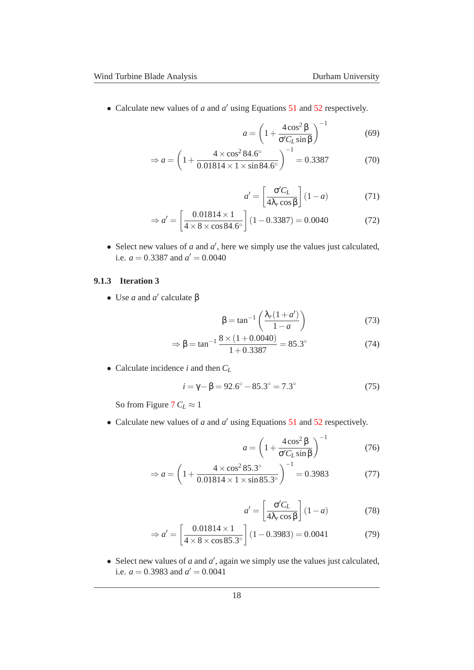• Calculate new values of *a* and *a'* using Equations [51](#page-14-2) and [52](#page-14-3) respectively.

$$
a = \left(1 + \frac{4\cos^2\beta}{\sigma'C_L\sin\beta}\right)^{-1}
$$
 (69)

$$
\Rightarrow a = \left(1 + \frac{4 \times \cos^2 84.6^{\circ}}{0.01814 \times 1 \times \sin 84.6^{\circ}}\right)^{-1} = 0.3387\tag{70}
$$

$$
a' = \left[\frac{\sigma' C_L}{4\lambda_r \cos \beta}\right] (1 - a) \tag{71}
$$

$$
\Rightarrow a' = \left[\frac{0.01814 \times 1}{4 \times 8 \times \cos 84.6^{\circ}}\right] (1 - 0.3387) = 0.0040
$$
 (72)

• Select new values of  $a$  and  $a'$ , here we simply use the values just calculated, i.e.  $a = 0.3387$  and  $a' = 0.0040$ 

#### <span id="page-17-0"></span>**9.1.3 Iteration 3**

• Use *a* and *a'* calculate β

$$
\beta = \tan^{-1}\left(\frac{\lambda_r(1+a')}{1-a}\right) \tag{73}
$$

$$
\Rightarrow \beta = \tan^{-1} \frac{8 \times (1 + 0.0040)}{1 + 0.3387} = 85.3^{\circ}
$$
 (74)

• Calculate incidence *i* and then *C<sup>L</sup>*

$$
i = \gamma - \beta = 92.6^{\circ} - 85.3^{\circ} = 7.3^{\circ}
$$
 (75)

So from Figure [7](#page-10-0)  $C_L \approx 1$ 

• Calculate new values of *a* and *a'* using Equations [51](#page-14-2) and [52](#page-14-3) respectively.

$$
a = \left(1 + \frac{4\cos^2\beta}{\sigma' C_L \sin\beta}\right)^{-1} \tag{76}
$$

$$
\Rightarrow a = \left(1 + \frac{4 \times \cos^2 85.3^{\circ}}{0.01814 \times 1 \times \sin 85.3^{\circ}}\right)^{-1} = 0.3983
$$
 (77)

$$
a' = \left[\frac{\sigma' C_L}{4\lambda_r \cos \beta}\right] (1 - a) \tag{78}
$$

$$
\Rightarrow a' = \left[\frac{0.01814 \times 1}{4 \times 8 \times \cos 85.3^{\circ}}\right] (1 - 0.3983) = 0.0041 \tag{79}
$$

• Select new values of  $a$  and  $a'$ , again we simply use the values just calculated, i.e.  $a = 0.3983$  and  $a' = 0.0041$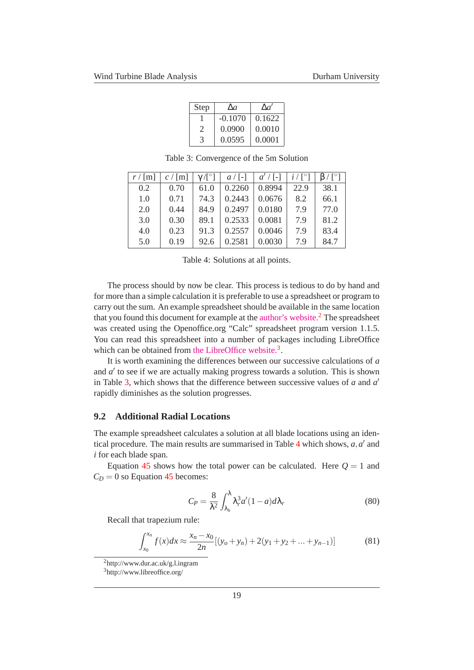| Step                  | $\Delta a$ | $\Lambda a'$ |
|-----------------------|------------|--------------|
|                       | $-0.1070$  | 0.1622       |
| $\mathcal{D}_{\cdot}$ | 0.0900     | 0.0010       |
| 3                     | 0.0595     | 0.0001       |

 $r / [m] \mid c / [m] \mid \gamma / [°]$  $a / [-]$  $a' / [-]$  $i / [°]$  $\frac{1}{\beta}$  | β / [ $\degree$ ]  $0.2 \quad 0.70 \quad 61.0 \quad 0.2260 \quad 0.8994 \quad 22.9 \quad 38.1$  $1.0$  0.71  $74.3$  0.2443 0.0676 8.2 66.1 2.0 0.44 84.9 0.2497 0.0180 7.9 77.0 3.0  $\begin{array}{|c|c|c|c|c|c|c|c|c|} \hline 0.30 & 89.1 & 0.2533 & 0.0081 & 7.9 & 81.2 \hline \end{array}$ 4.0 0.23 91.3 0.2557 0.0046 7.9 83.4  $5.0 \quad | \quad 0.19 \quad | \quad 92.6 \quad | \quad 0.2581 \quad | \quad 0.0030 \quad | \quad 7.9 \quad | \quad 84.7$ 

<span id="page-18-3"></span>Table 3: Convergence of the 5m Solution

<span id="page-18-4"></span>Table 4: Solutions at all points.

The process should by now be clear. This process is tedious to do by hand and for more than a simple calculation it is preferable to use a spreadsheet or program to carry out the sum. An example spreadsheet should be available in the same location that you found this document for example at the [author's website.](http://www.dur.ac.uk/g.l.ingram)[2](#page-18-1) The spreadsheet was created using the Openoffice.org "Calc" spreadsheet program version 1.1.5. You can read this spreadsheet into a number of packages including LibreOffice which can be obtained from [the LibreOffice website.](http://www.libreoffice.org/)<sup>[3](#page-18-2)</sup>.

It is worth examining the differences between our successive calculations of *a* and *a'* to see if we are actually making progress towards a solution. This is shown in Table [3,](#page-18-3) which shows that the difference between successive values of *a* and *a* ′ rapidly diminishes as the solution progresses.

#### <span id="page-18-0"></span>**9.2 Additional Radial Locations**

The example spreadsheet calculates a solution at all blade locations using an iden-tical procedure. The main results are summarised in Table [4](#page-18-4) which shows,  $a, a'$  and *i* for each blade span.

Equation [45](#page-12-4) shows how the total power can be calculated. Here  $Q = 1$  and  $C_D = 0$  so Equation [45](#page-12-4) becomes:

$$
C_P = \frac{8}{\lambda^2} \int_{\lambda_h}^{\lambda} \lambda_r^3 a'(1-a) d\lambda_r
$$
 (80)

Recall that trapezium rule:

$$
\int_{x_0}^{x_n} f(x)dx \approx \frac{x_n - x_0}{2n} [(y_o + y_n) + 2(y_1 + y_2 + \dots + y_{n-1})]
$$
(81)

<sup>2</sup>http://www.dur.ac.uk/g.l.ingram

<span id="page-18-2"></span><span id="page-18-1"></span><sup>3</sup>http://www.libreoffice.org/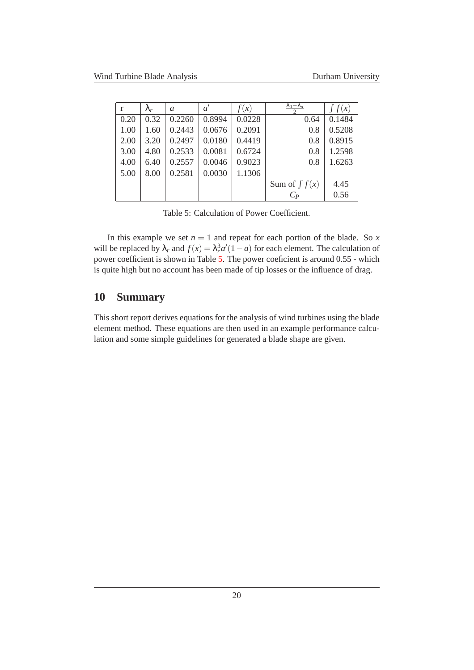| r    | $\lambda_r$ | a      | $a^{\prime}$ | f(x)   | $\lambda_0 - \lambda_n$ | $\int f(x)$ |
|------|-------------|--------|--------------|--------|-------------------------|-------------|
| 0.20 | 0.32        | 0.2260 | 0.8994       | 0.0228 | 0.64                    | 0.1484      |
| 1.00 | 1.60        | 0.2443 | 0.0676       | 0.2091 | 0.8                     | 0.5208      |
| 2.00 | 3.20        | 0.2497 | 0.0180       | 0.4419 | 0.8                     | 0.8915      |
| 3.00 | 4.80        | 0.2533 | 0.0081       | 0.6724 | 0.8                     | 1.2598      |
| 4.00 | 6.40        | 0.2557 | 0.0046       | 0.9023 | 0.8                     | 1.6263      |
| 5.00 | 8.00        | 0.2581 | 0.0030       | 1.1306 |                         |             |
|      |             |        |              |        | Sum of $\int f(x)$      | 4.45        |
|      |             |        |              |        | $C_P$                   | 0.56        |

<span id="page-19-1"></span>Table 5: Calculation of Power Coefficient.

In this example we set  $n = 1$  and repeat for each portion of the blade. So  $x$ will be replaced by  $\lambda_r$  and  $f(x) = \lambda_r^3 a'(1 - a)$  for each element. The calculation of power coefficient is shown in Table [5.](#page-19-1) The power coeficient is around 0.55 - which is quite high but no account has been made of tip losses or the influence of drag.

# <span id="page-19-0"></span>**10 Summary**

This short report derives equations for the analysis of wind turbines using the blade element method. These equations are then used in an example performance calculation and some simple guidelines for generated a blade shape are given.